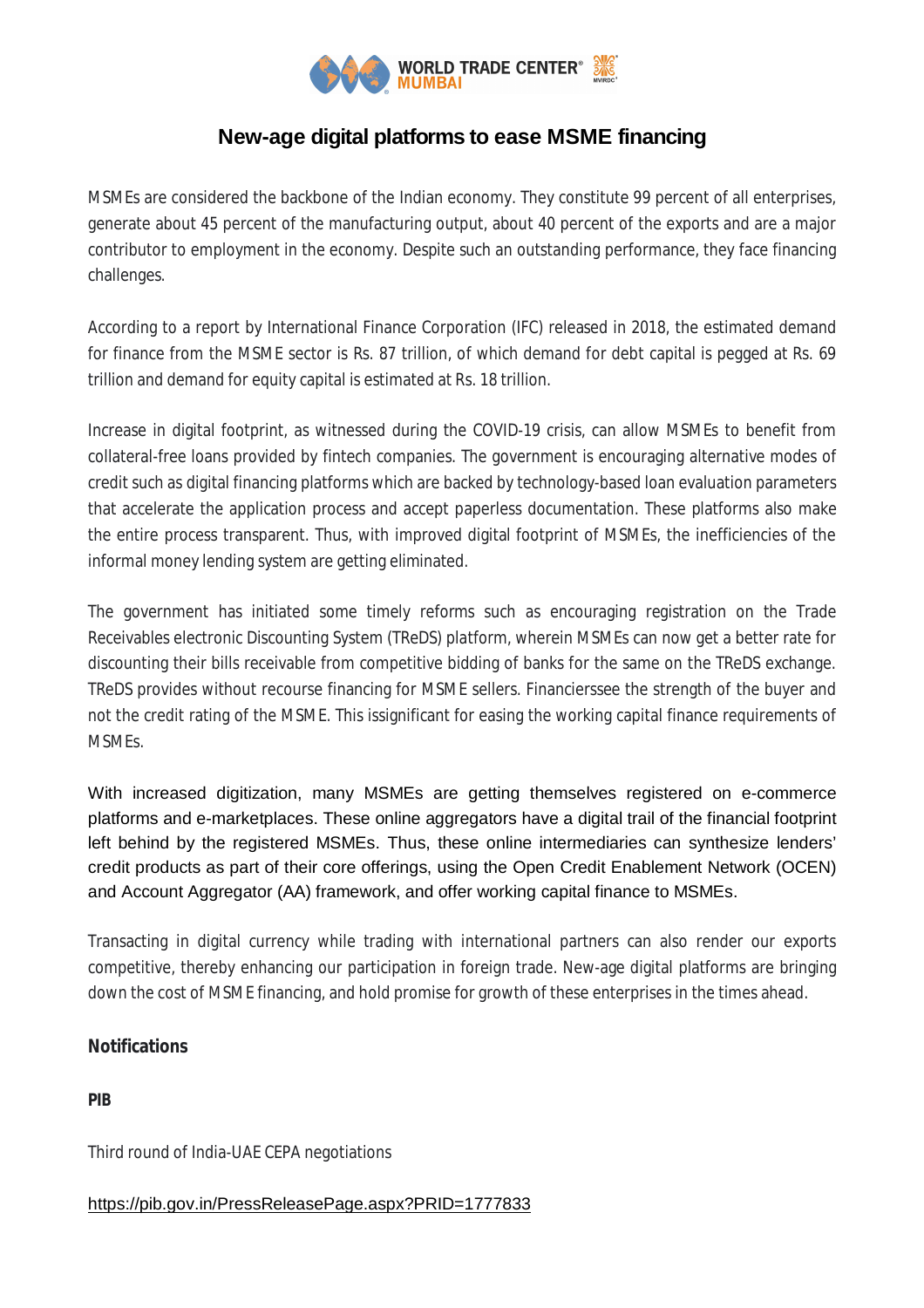

# **New-age digital platforms to ease MSME financing**

MSMEs are considered the backbone of the Indian economy. They constitute 99 percent of all enterprises, generate about 45 percent of the manufacturing output, about 40 percent of the exports and are a major contributor to employment in the economy. Despite such an outstanding performance, they face financing challenges.

According to a report by International Finance Corporation (IFC) released in 2018, the estimated demand for finance from the MSME sector is Rs. 87 trillion, of which demand for debt capital is pegged at Rs. 69 trillion and demand for equity capital is estimated at Rs. 18 trillion.

Increase in digital footprint, as witnessed during the COVID-19 crisis, can allow MSMEs to benefit from collateral-free loans provided by fintech companies. The government is encouraging alternative modes of credit such as digital financing platforms which are backed by technology-based loan evaluation parameters that accelerate the application process and accept paperless documentation. These platforms also make the entire process transparent. Thus, with improved digital footprint of MSMEs, the inefficiencies of the informal money lending system are getting eliminated.

The government has initiated some timely reforms such as encouraging registration on the Trade Receivables electronic Discounting System (TReDS) platform, wherein MSMEs can now get a better rate for discounting their bills receivable from competitive bidding of banks for the same on the TReDS exchange. TReDS provides without recourse financing for MSME sellers. Financierssee the strength of the buyer and not the credit rating of the MSME. This issignificant for easing the working capital finance requirements of MSMEs.

With increased digitization, many MSMEs are getting themselves registered on e-commerce platforms and e-marketplaces. These online aggregators have a digital trail of the financial footprint left behind by the registered MSMEs. Thus, these online intermediaries can synthesize lenders' credit products as part of their core offerings, using the Open Credit Enablement Network (OCEN) and Account Aggregator (AA) framework, and offer working capital finance to MSMEs.

Transacting in digital currency while trading with international partners can also render our exports competitive, thereby enhancing our participation in foreign trade. New-age digital platforms are bringing down the cost of MSME financing, and hold promise for growth of these enterprises in the times ahead.

### **Notifications**

**PIB**

Third round of India-UAE CEPA negotiations

## https://pib.gov.in/PressReleasePage.aspx?PRID=1777833